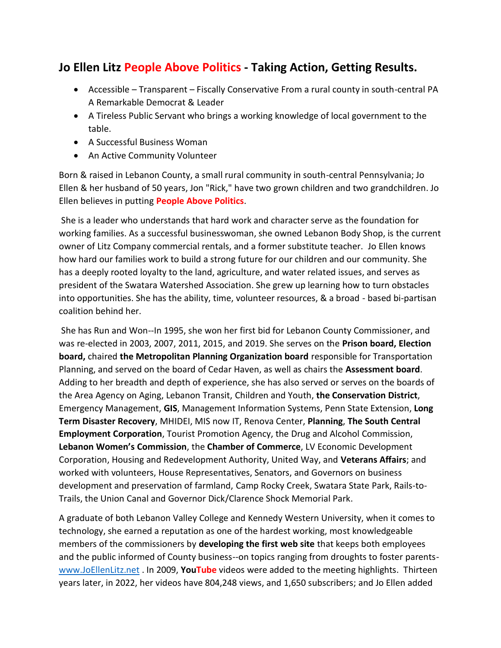## **Jo Ellen Litz People Above Politics - Taking Action, Getting Results.**

- Accessible Transparent Fiscally Conservative From a rural county in south-central PA A Remarkable Democrat & Leader
- A Tireless Public Servant who brings a working knowledge of local government to the table.
- A Successful Business Woman
- An Active Community Volunteer

Born & raised in Lebanon County, a small rural community in south-central Pennsylvania; Jo Ellen & her husband of 50 years, Jon "Rick," have two grown children and two grandchildren. Jo Ellen believes in putting **People Above Politics**.

She is a leader who understands that hard work and character serve as the foundation for working families. As a successful businesswoman, she owned Lebanon Body Shop, is the current owner of Litz Company commercial rentals, and a former substitute teacher. Jo Ellen knows how hard our families work to build a strong future for our children and our community. She has a deeply rooted loyalty to the land, agriculture, and water related issues, and serves as president of the Swatara Watershed Association. She grew up learning how to turn obstacles into opportunities. She has the ability, time, volunteer resources, & a broad - based bi-partisan coalition behind her.

She has Run and Won--In 1995, she won her first bid for Lebanon County Commissioner, and was re-elected in 2003, 2007, 2011, 2015, and 2019. She serves on the **Prison board, Election board,** chaired **the Metropolitan Planning Organization board** responsible for Transportation Planning, and served on the board of Cedar Haven, as well as chairs the **Assessment board**. Adding to her breadth and depth of experience, she has also served or serves on the boards of the Area Agency on Aging, Lebanon Transit, Children and Youth, **the Conservation District**, Emergency Management, **GIS**, Management Information Systems, Penn State Extension, **Long Term Disaster Recovery**, MHIDEI, MIS now IT, Renova Center, **Planning**, **The South Central Employment Corporation**, Tourist Promotion Agency, the Drug and Alcohol Commission, **Lebanon Women's Commission**, the **Chamber of Commerce**, LV Economic Development Corporation, Housing and Redevelopment Authority, United Way, and **Veterans Affairs**; and worked with volunteers, House Representatives, Senators, and Governors on business development and preservation of farmland, Camp Rocky Creek, Swatara State Park, Rails-to-Trails, the Union Canal and Governor Dick/Clarence Shock Memorial Park.

A graduate of both Lebanon Valley College and Kennedy Western University, when it comes to technology, she earned a reputation as one of the hardest working, most knowledgeable members of the commissioners by **developing the first web site** that keeps both employees and the public informed of County business--on topics ranging from droughts to foster parents[www.JoEllenLitz.net](http://www.joellenlitz.net/) . In 2009, **YouTube** videos were added to the meeting highlights. Thirteen years later, in 2022, her videos have 804,248 views, and 1,650 subscribers; and Jo Ellen added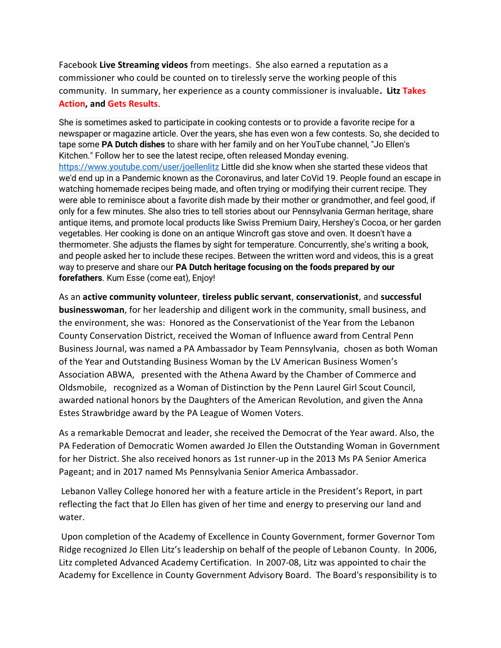Facebook **Live Streaming videos** from meetings. She also earned a reputation as a commissioner who could be counted on to tirelessly serve the working people of this community. In summary, her experience as a county commissioner is invaluable**. Litz Takes Action, and Gets Results**.

She is sometimes asked to participate in cooking contests or to provide a favorite recipe for a newspaper or magazine article. Over the years, she has even won a few contests. So, she decided to tape some **PA Dutch dishes** to share with her family and on her YouTube channel, "Jo Ellen's Kitchen." Follow her to see the latest recipe, often released Monday evening. <https://www.youtube.com/user/joellenlitz> Little did she know when she started these videos that we'd end up in a Pandemic known as the Coronavirus, and later CoVid 19. People found an escape in watching homemade recipes being made, and often trying or modifying their current recipe. They were able to reminisce about a favorite dish made by their mother or grandmother, and feel good, if only for a few minutes. She also tries to tell stories about our Pennsylvania German heritage, share antique items, and promote local products like Swiss Premium Dairy, Hershey's Cocoa, or her garden vegetables. Her cooking is done on an antique Wincroft gas stove and oven. It doesn't have a thermometer. She adjusts the flames by sight for temperature. Concurrently, she's writing a book, and people asked her to include these recipes. Between the written word and videos, this is a great way to preserve and share our **PA Dutch heritage focusing on the foods prepared by our forefathers**. Kum Esse (come eat), Enjoy!

As an **active community volunteer**, **tireless public servant**, **conservationist**, and **successful businesswoman**, for her leadership and diligent work in the community, small business, and the environment, she was: Honored as the Conservationist of the Year from the Lebanon County Conservation District, received the Woman of Influence award from Central Penn Business Journal, was named a PA Ambassador by Team Pennsylvania, chosen as both Woman of the Year and Outstanding Business Woman by the LV American Business Women's Association ABWA, presented with the Athena Award by the Chamber of Commerce and Oldsmobile, recognized as a Woman of Distinction by the Penn Laurel Girl Scout Council, awarded national honors by the Daughters of the American Revolution, and given the Anna Estes Strawbridge award by the PA League of Women Voters.

As a remarkable Democrat and leader, she received the Democrat of the Year award. Also, the PA Federation of Democratic Women awarded Jo Ellen the Outstanding Woman in Government for her District. She also received honors as 1st runner-up in the 2013 Ms PA Senior America Pageant; and in 2017 named Ms Pennsylvania Senior America Ambassador.

Lebanon Valley College honored her with a feature article in the President's Report, in part reflecting the fact that Jo Ellen has given of her time and energy to preserving our land and water.

Upon completion of the Academy of Excellence in County Government, former Governor Tom Ridge recognized Jo Ellen Litz's leadership on behalf of the people of Lebanon County. In 2006, Litz completed Advanced Academy Certification. In 2007-08, Litz was appointed to chair the Academy for Excellence in County Government Advisory Board. The Board's responsibility is to